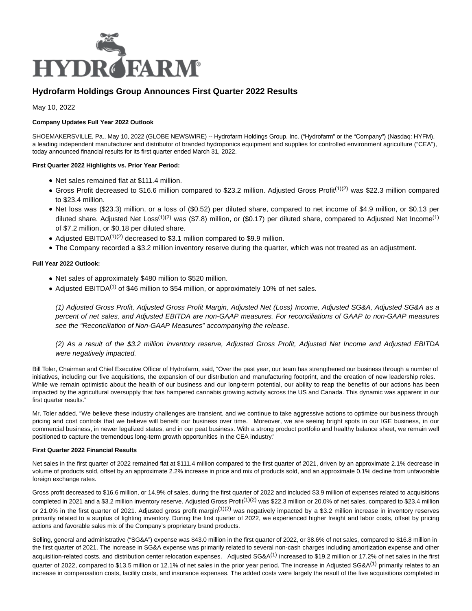

## **Hydrofarm Holdings Group Announces First Quarter 2022 Results**

May 10, 2022

#### **Company Updates Full Year 2022 Outlook**

SHOEMAKERSVILLE, Pa., May 10, 2022 (GLOBE NEWSWIRE) -- Hydrofarm Holdings Group, Inc. ("Hydrofarm" or the "Company") (Nasdaq: HYFM), a leading independent manufacturer and distributor of branded hydroponics equipment and supplies for controlled environment agriculture ("CEA"), today announced financial results for its first quarter ended March 31, 2022.

#### **First Quarter 2022 Highlights vs. Prior Year Period:**

- Net sales remained flat at \$111.4 million.
- Gross Profit decreased to \$16.6 million compared to \$23.2 million. Adjusted Gross Profit(1)(2) was \$22.3 million compared to \$23.4 million.
- Net loss was (\$23.3) million, or a loss of (\$0.52) per diluted share, compared to net income of \$4.9 million, or \$0.13 per diluted share. Adjusted Net Loss<sup>(1)(2)</sup> was (\$7.8) million, or (\$0.17) per diluted share, compared to Adjusted Net Income<sup>(1)</sup> of \$7.2 million, or \$0.18 per diluted share.
- Adjusted EBITDA<sup>(1)(2)</sup> decreased to \$3.1 million compared to \$9.9 million.
- The Company recorded a \$3.2 million inventory reserve during the quarter, which was not treated as an adjustment.

### **Full Year 2022 Outlook:**

- Net sales of approximately \$480 million to \$520 million.
- Adjusted EBITDA<sup>(1)</sup> of \$46 million to \$54 million, or approximately 10% of net sales.

(1) Adjusted Gross Profit, Adjusted Gross Profit Margin, Adjusted Net (Loss) Income, Adjusted SG&A, Adjusted SG&A as a percent of net sales, and Adjusted EBITDA are non-GAAP measures. For reconciliations of GAAP to non-GAAP measures see the "Reconciliation of Non-GAAP Measures" accompanying the release.

(2) As a result of the \$3.2 million inventory reserve, Adjusted Gross Profit, Adjusted Net Income and Adjusted EBITDA were negatively impacted.

Bill Toler, Chairman and Chief Executive Officer of Hydrofarm, said, "Over the past year, our team has strengthened our business through a number of initiatives, including our five acquisitions, the expansion of our distribution and manufacturing footprint, and the creation of new leadership roles. While we remain optimistic about the health of our business and our long-term potential, our ability to reap the benefits of our actions has been impacted by the agricultural oversupply that has hampered cannabis growing activity across the US and Canada. This dynamic was apparent in our first quarter results."

Mr. Toler added, "We believe these industry challenges are transient, and we continue to take aggressive actions to optimize our business through pricing and cost controls that we believe will benefit our business over time. Moreover, we are seeing bright spots in our IGE business, in our commercial business, in newer legalized states, and in our peat business. With a strong product portfolio and healthy balance sheet, we remain well positioned to capture the tremendous long-term growth opportunities in the CEA industry."

#### **First Quarter 2022 Financial Results**

Net sales in the first quarter of 2022 remained flat at \$111.4 million compared to the first quarter of 2021, driven by an approximate 2.1% decrease in volume of products sold, offset by an approximate 2.2% increase in price and mix of products sold, and an approximate 0.1% decline from unfavorable foreign exchange rates.

Gross profit decreased to \$16.6 million, or 14.9% of sales, during the first quarter of 2022 and included \$3.9 million of expenses related to acquisitions completed in 2021 and a \$3.2 million inventory reserve. Adjusted Gross Profit<sup>(1)(2)</sup> was \$22.3 million or 20.0% of net sales, compared to \$23.4 million or 21.0% in the first quarter of 2021. Adjusted gross profit margin<sup>(1)(2)</sup> was negatively impacted by a \$3.2 million increase in inventory reserves primarily related to a surplus of lighting inventory. During the first quarter of 2022, we experienced higher freight and labor costs, offset by pricing actions and favorable sales mix of the Company's proprietary brand products.

Selling, general and administrative ("SG&A") expense was \$43.0 million in the first quarter of 2022, or 38.6% of net sales, compared to \$16.8 million in the first quarter of 2021. The increase in SG&A expense was primarily related to several non-cash charges including amortization expense and other acquisition-related costs, and distribution center relocation expenses. Adjusted  $SGBA<sup>(1)</sup>$  increased to \$19.2 million or 17.2% of net sales in the first quarter of 2022, compared to \$13.5 million or 12.1% of net sales in the prior year period. The increase in Adjusted SG&A $^{(1)}$  primarily relates to an increase in compensation costs, facility costs, and insurance expenses. The added costs were largely the result of the five acquisitions completed in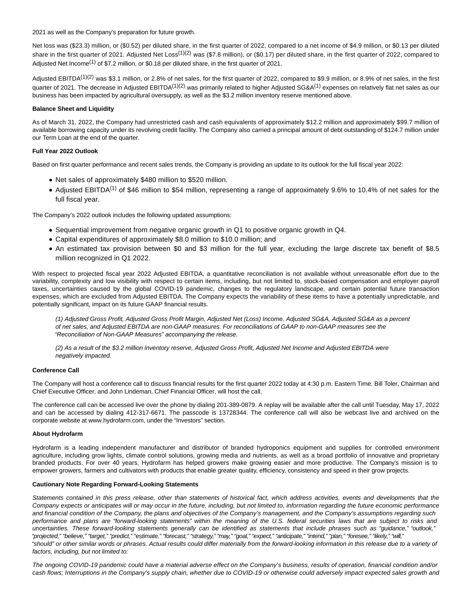2021 as well as the Company's preparation for future growth.

Net loss was (\$23.3) million, or (\$0.52) per diluted share, in the first quarter of 2022, compared to a net income of \$4.9 million, or \$0.13 per diluted share in the first quarter of 2021. Adjusted Net Loss<sup>(1)(2)</sup> was (\$7.8 million), or (\$0.17) per diluted share, in the first quarter of 2022, compared to Adjusted Net Income<sup>(1)</sup> of \$7.2 million, or \$0.18 per diluted share, in the first quarter of 2021.

Adjusted EBITDA<sup>(1)(2)</sup> was \$3.1 million, or 2.8% of net sales, for the first quarter of 2022, compared to \$9.9 million, or 8.9% of net sales, in the first quarter of 2021. The decrease in Adjusted EBITDA<sup>(1)(2)</sup> was primarily related to higher Adjusted SG&A<sup>(1)</sup> expenses on relatively flat net sales as our business has been impacted by agricultural oversupply, as well as the \$3.2 million inventory reserve mentioned above.

#### **Balance Sheet and Liquidity**

As of March 31, 2022, the Company had unrestricted cash and cash equivalents of approximately \$12.2 million and approximately \$99.7 million of available borrowing capacity under its revolving credit facility. The Company also carried a principal amount of debt outstanding of \$124.7 million under our Term Loan at the end of the quarter.

#### **Full Year 2022 Outlook**

Based on first quarter performance and recent sales trends, the Company is providing an update to its outlook for the full fiscal year 2022:

- Net sales of approximately \$480 million to \$520 million.
- Adjusted EBITDA<sup>(1)</sup> of \$46 million to \$54 million, representing a range of approximately 9.6% to 10.4% of net sales for the full fiscal year.

The Company's 2022 outlook includes the following updated assumptions:

- Sequential improvement from negative organic growth in Q1 to positive organic growth in Q4.
- Capital expenditures of approximately \$8.0 million to \$10.0 million; and
- An estimated tax provision between \$0 and \$3 million for the full year, excluding the large discrete tax benefit of \$8.5 million recognized in Q1 2022.

With respect to projected fiscal year 2022 Adjusted EBITDA, a quantitative reconciliation is not available without unreasonable effort due to the variability, complexity and low visibility with respect to certain items, including, but not limited to, stock-based compensation and employer payroll taxes, uncertainties caused by the global COVID-19 pandemic, changes to the regulatory landscape, and certain potential future transaction expenses, which are excluded from Adjusted EBITDA. The Company expects the variability of these items to have a potentially unpredictable, and potentially significant, impact on its future GAAP financial results.

(1) Adjusted Gross Profit, Adjusted Gross Profit Margin, Adjusted Net (Loss) Income, Adjusted SG&A, Adjusted SG&A as a percent of net sales, and Adjusted EBITDA are non-GAAP measures. For reconciliations of GAAP to non-GAAP measures see the "Reconciliation of Non-GAAP Measures" accompanying the release.

(2) As a result of the \$3.2 million inventory reserve, Adjusted Gross Profit, Adjusted Net Income and Adjusted EBITDA were negatively impacted.

#### **Conference Call**

The Company will host a conference call to discuss financial results for the first quarter 2022 today at 4:30 p.m. Eastern Time. Bill Toler, Chairman and Chief Executive Officer, and John Lindeman, Chief Financial Officer, will host the call.

The conference call can be accessed live over the phone by dialing 201-389-0879. A replay will be available after the call until Tuesday, May 17, 2022 and can be accessed by dialing 412-317-6671. The passcode is 13728344. The conference call will also be webcast live and archived on the corporate website at www.hydrofarm.com, under the "Investors" section.

#### **About Hydrofarm**

Hydrofarm is a leading independent manufacturer and distributor of branded hydroponics equipment and supplies for controlled environment agriculture, including grow lights, climate control solutions, growing media and nutrients, as well as a broad portfolio of innovative and proprietary branded products. For over 40 years, Hydrofarm has helped growers make growing easier and more productive. The Company's mission is to empower growers, farmers and cultivators with products that enable greater quality, efficiency, consistency and speed in their grow projects.

#### **Cautionary Note Regarding Forward-Looking Statements**

Statements contained in this press release, other than statements of historical fact, which address activities, events and developments that the Company expects or anticipates will or may occur in the future, including, but not limited to, information regarding the future economic performance and financial condition of the Company, the plans and objectives of the Company's management, and the Company's assumptions regarding such performance and plans are "forward-looking statements" within the meaning of the U.S. federal securities laws that are subject to risks and uncertainties. These forward-looking statements generally can be identified as statements that include phrases such as "guidance," "outlook," "projected," "believe," "target," "predict," "estimate," "forecast," "strategy," "may," "goal," "expect," "anticipate," "intend," "plan," "foresee," "likely," "will," "should" or other similar words or phrases. Actual results could differ materially from the forward-looking information in this release due to a variety of factors, including, but not limited to:

The ongoing COVID-19 pandemic could have a material adverse effect on the Company's business, results of operation, financial condition and/or cash flows; Interruptions in the Company's supply chain, whether due to COVID-19 or otherwise could adversely impact expected sales growth and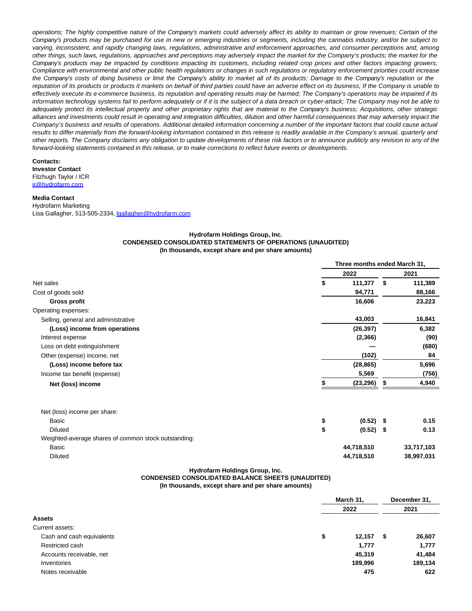operations; The highly competitive nature of the Company's markets could adversely affect its ability to maintain or grow revenues; Certain of the Company's products may be purchased for use in new or emerging industries or segments, including the cannabis industry, and/or be subject to varying, inconsistent, and rapidly changing laws, regulations, administrative and enforcement approaches, and consumer perceptions and, among other things, such laws, regulations, approaches and perceptions may adversely impact the market for the Company's products; the market for the Company's products may be impacted by conditions impacting its customers, including related crop prices and other factors impacting growers; Compliance with environmental and other public health regulations or changes in such regulations or regulatory enforcement priorities could increase the Company's costs of doing business or limit the Company's ability to market all of its products; Damage to the Company's reputation or the reputation of its products or products it markets on behalf of third parties could have an adverse effect on its business; If the Company is unable to effectively execute its e-commerce business, its reputation and operating results may be harmed; The Company's operations may be impaired if its information technology systems fail to perform adequately or if it is the subject of a data breach or cyber-attack; The Company may not be able to adequately protect its intellectual property and other proprietary rights that are material to the Company's business; Acquisitions, other strategic alliances and investments could result in operating and integration difficulties, dilution and other harmful consequences that may adversely impact the Company's business and results of operations. Additional detailed information concerning a number of the important factors that could cause actual results to differ materially from the forward-looking information contained in this release is readily available in the Company's annual, quarterly and other reports. The Company disclaims any obligation to update developments of these risk factors or to announce publicly any revision to any of the forward-looking statements contained in this release, or to make corrections to reflect future events or developments.

**Contacts: Investor Contact** Fitzhugh Taylor / ICR [ir@hydrofarm.com](https://www.globenewswire.com/Tracker?data=d58_R21XRbcO_dBDunl68xnjJUojrLRJbocvpjZAdwvK3GJwCmWa2Qg-3tHogljcdwecM9a1hmJlzokVBwt-fA==)

#### **Media Contact**

Hydrofarm Marketing Lisa Gallagher, 513-505-2334[, lgallagher@hydrofarm.com](https://www.globenewswire.com/Tracker?data=FqlJlefyd8aUAgXNMUpaKVOG5lA5267_caYLVoZPlH40mx83otQMTDWXZ12XdppVVkPDzfKdyJaKaHP1XtqDTUiP9vCp_tvmz_Wu9BnYWXY=)

#### **Hydrofarm Holdings Group, Inc. CONDENSED CONSOLIDATED STATEMENTS OF OPERATIONS (UNAUDITED) (In thousands, except share and per share amounts)**

|                                                      |           | Three months ended March 31, |    |            |  |
|------------------------------------------------------|-----------|------------------------------|----|------------|--|
|                                                      |           | 2022                         |    | 2021       |  |
| Net sales                                            | \$        | 111,377                      | \$ | 111,389    |  |
| Cost of goods sold                                   |           | 94,771                       |    | 88,166     |  |
| <b>Gross profit</b>                                  |           | 16,606                       |    | 23,223     |  |
| Operating expenses:                                  |           |                              |    |            |  |
| Selling, general and administrative                  |           | 43,003                       |    | 16,841     |  |
| (Loss) income from operations                        |           | (26, 397)                    |    | 6,382      |  |
| Interest expense                                     |           | (2,366)                      |    | (90)       |  |
| Loss on debt extinguishment                          |           |                              |    | (680)      |  |
| Other (expense) income, net                          | (102)     | 84                           |    |            |  |
| (Loss) income before tax                             | (28, 865) |                              |    | 5,696      |  |
| Income tax benefit (expense)                         |           | 5,569                        |    | (756)      |  |
| Net (loss) income                                    |           | (23, 296)                    | S  | 4,940      |  |
| Net (loss) income per share:                         |           |                              |    |            |  |
| Basic                                                | \$        | (0.52)                       | -5 | 0.15       |  |
| Diluted                                              | \$        | $(0.52)$ \$                  |    | 0.13       |  |
| Weighted-average shares of common stock outstanding: |           |                              |    |            |  |
| Basic                                                |           | 44,718,510                   |    | 33,717,103 |  |
|                                                      |           |                              |    |            |  |

## **Hydrofarm Holdings Group, Inc. CONDENSED CONSOLIDATED BALANCE SHEETS (UNAUDITED)**

Diluted **44,718,510 38,997,031**

**(In thousands, except share and per share amounts)**

|                           |    | March 31,<br>2022 |    | December 31,<br>2021 |  |
|---------------------------|----|-------------------|----|----------------------|--|
| <b>Assets</b>             |    |                   |    |                      |  |
|                           |    |                   |    |                      |  |
| Current assets:           |    |                   |    |                      |  |
| Cash and cash equivalents | \$ | 12,157            | -5 | 26,607               |  |
| Restricted cash           |    | 1,777             |    | 1,777                |  |
| Accounts receivable, net  |    | 45,319            |    | 41,484               |  |
| Inventories               |    | 189,996           |    | 189,134              |  |
| Notes receivable          |    | 475               |    | 622                  |  |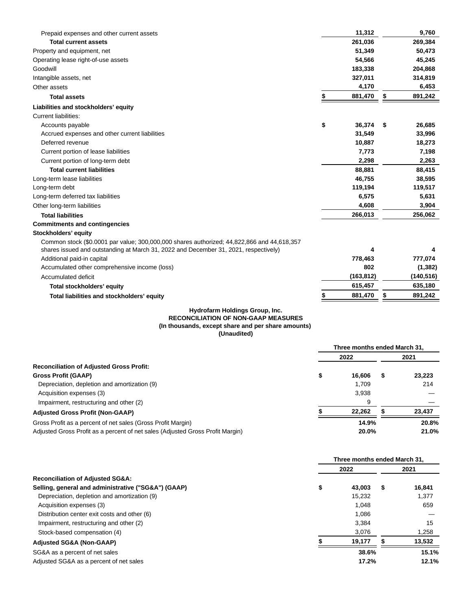| Prepaid expenses and other current assets                                                  | 11,312        | 9,760         |
|--------------------------------------------------------------------------------------------|---------------|---------------|
| <b>Total current assets</b>                                                                | 261,036       | 269,384       |
| Property and equipment, net                                                                | 51,349        | 50,473        |
| Operating lease right-of-use assets                                                        | 54,566        | 45,245        |
| Goodwill                                                                                   | 183,338       | 204,868       |
| Intangible assets, net                                                                     | 327,011       | 314,819       |
| Other assets                                                                               | 4,170         | 6,453         |
| <b>Total assets</b>                                                                        | \$<br>881,470 | \$<br>891,242 |
| Liabilities and stockholders' equity                                                       |               |               |
| Current liabilities:                                                                       |               |               |
| Accounts payable                                                                           | \$<br>36,374  | \$<br>26,685  |
| Accrued expenses and other current liabilities                                             | 31,549        | 33,996        |
| Deferred revenue                                                                           | 10,887        | 18,273        |
| Current portion of lease liabilities                                                       | 7,773         | 7,198         |
| Current portion of long-term debt                                                          | 2,298         | 2,263         |
| <b>Total current liabilities</b>                                                           | 88,881        | 88,415        |
| Long-term lease liabilities                                                                | 46,755        | 38,595        |
| Long-term debt                                                                             | 119,194       | 119,517       |
| Long-term deferred tax liabilities                                                         | 6,575         | 5,631         |
| Other long-term liabilities                                                                | 4,608         | 3,904         |
| <b>Total liabilities</b>                                                                   | 266,013       | 256,062       |
| <b>Commitments and contingencies</b>                                                       |               |               |
| Stockholders' equity                                                                       |               |               |
| Common stock (\$0.0001 par value; 300,000,000 shares authorized; 44,822,866 and 44,618,357 |               |               |
| shares issued and outstanding at March 31, 2022 and December 31, 2021, respectively)       | 4             |               |
| Additional paid-in capital                                                                 | 778,463       | 777,074       |
| Accumulated other comprehensive income (loss)                                              | 802           | (1, 382)      |
| Accumulated deficit                                                                        | (163, 812)    | (140,516)     |
| Total stockholders' equity                                                                 | 615,457       | 635,180       |
| Total liabilities and stockholders' equity                                                 | 881,470       | \$<br>891,242 |
| Hydrofarm Holdings Group, Inc.<br><b>RECONCILIATION OF NON-GAAP MEASURES</b>               |               |               |

# **(In thousands, except share and per share amounts) (Unaudited)**

|                                                                                | Three months ended March 31. |        |      |        |
|--------------------------------------------------------------------------------|------------------------------|--------|------|--------|
|                                                                                | 2022                         |        | 2021 |        |
| <b>Reconciliation of Adjusted Gross Profit:</b>                                |                              |        |      |        |
| <b>Gross Profit (GAAP)</b>                                                     | S                            | 16.606 |      | 23.223 |
| Depreciation, depletion and amortization (9)                                   |                              | 1.709  |      | 214    |
| Acquisition expenses (3)                                                       |                              | 3.938  |      |        |
| Impairment, restructuring and other (2)                                        |                              | 9      |      |        |
| <b>Adjusted Gross Profit (Non-GAAP)</b>                                        |                              | 22.262 |      | 23,437 |
| Gross Profit as a percent of net sales (Gross Profit Margin)                   |                              | 14.9%  |      | 20.8%  |
| Adjusted Gross Profit as a percent of net sales (Adjusted Gross Profit Margin) |                              | 20.0%  |      | 21.0%  |

|                                                     |              |   | Three months ended March 31.<br>2021 |  |  |  |
|-----------------------------------------------------|--------------|---|--------------------------------------|--|--|--|
|                                                     | 2022         |   |                                      |  |  |  |
| <b>Reconciliation of Adjusted SG&amp;A:</b>         |              |   |                                      |  |  |  |
| Selling, general and administrative ("SG&A") (GAAP) | \$<br>43.003 | S | 16.841                               |  |  |  |
| Depreciation, depletion and amortization (9)        | 15.232       |   | 1,377                                |  |  |  |
| Acquisition expenses (3)                            | 1.048        |   | 659                                  |  |  |  |
| Distribution center exit costs and other (6)        | 1.086        |   |                                      |  |  |  |
| Impairment, restructuring and other (2)             | 3.384        |   | 15                                   |  |  |  |
| Stock-based compensation (4)                        | 3,076        |   | 1,258                                |  |  |  |
| <b>Adjusted SG&amp;A (Non-GAAP)</b>                 | 19,177       |   | 13,532                               |  |  |  |
| SG&A as a percent of net sales                      | 38.6%        |   | 15.1%                                |  |  |  |
| Adjusted SG&A as a percent of net sales             | 17.2%        |   | 12.1%                                |  |  |  |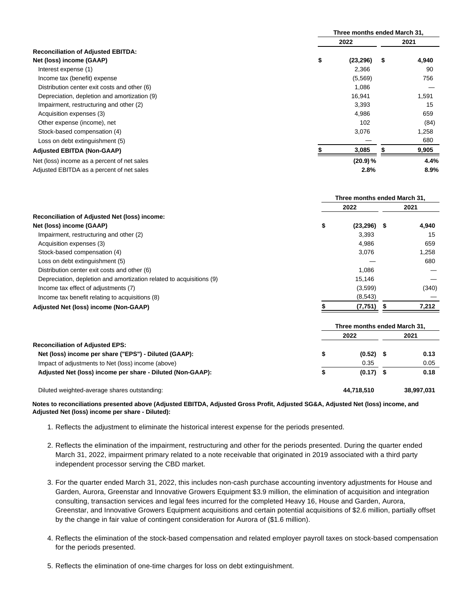|                                              | Three months ended March 31, |    |       |
|----------------------------------------------|------------------------------|----|-------|
|                                              | 2022                         |    | 2021  |
| <b>Reconciliation of Adjusted EBITDA:</b>    |                              |    |       |
| Net (loss) income (GAAP)                     | \$<br>(23, 296)              | \$ | 4,940 |
| Interest expense (1)                         | 2,366                        |    | 90    |
| Income tax (benefit) expense                 | (5, 569)                     |    | 756   |
| Distribution center exit costs and other (6) | 1,086                        |    |       |
| Depreciation, depletion and amortization (9) | 16,941                       |    | 1,591 |
| Impairment, restructuring and other (2)      | 3,393                        |    | 15    |
| Acquisition expenses (3)                     | 4,986                        |    | 659   |
| Other expense (income), net                  | 102                          |    | (84)  |
| Stock-based compensation (4)                 | 3,076                        |    | 1,258 |
| Loss on debt extinguishment (5)              |                              |    | 680   |
| <b>Adjusted EBITDA (Non-GAAP)</b>            | 3,085                        |    | 9,905 |
| Net (loss) income as a percent of net sales  | (20.9) %                     |    | 4.4%  |
| Adjusted EBITDA as a percent of net sales    | 2.8%                         |    | 8.9%  |

|                                                                      | Three months ended March 31, |                |  |       |
|----------------------------------------------------------------------|------------------------------|----------------|--|-------|
|                                                                      |                              | 2022           |  | 2021  |
| Reconciliation of Adjusted Net (loss) income:                        |                              |                |  |       |
| Net (loss) income (GAAP)                                             | \$                           | $(23, 296)$ \$ |  | 4,940 |
| Impairment, restructuring and other (2)                              |                              | 3,393          |  | 15    |
| Acquisition expenses (3)                                             |                              | 4,986          |  | 659   |
| Stock-based compensation (4)                                         |                              | 3,076          |  | 1,258 |
| Loss on debt extinguishment (5)                                      |                              |                |  | 680   |
| Distribution center exit costs and other (6)                         |                              | 1,086          |  |       |
| Depreciation, depletion and amortization related to acquisitions (9) |                              | 15,146         |  |       |
| Income tax effect of adjustments (7)                                 |                              | (3,599)        |  | (340) |
| Income tax benefit relating to acquisitions (8)                      |                              | (8, 543)       |  |       |
| Adjusted Net (loss) income (Non-GAAP)                                |                              | (7, 751)       |  | 7,212 |
|                                                                      | Three months ended March 31, |                |  |       |
|                                                                      |                              | 2022           |  | 2021  |
| <b>Reconciliation of Adjusted EPS:</b>                               |                              |                |  |       |
| Net (loss) income per share ("EPS") - Diluted (GAAP):                | \$                           | $(0.52)$ \$    |  | 0.13  |
| Impact of adjustments to Net (loss) income (above)                   |                              | 0.35           |  | 0.05  |

Diluted weighted-average shares outstanding: **44,718,510 38,997,031**

**Notes to reconciliations presented above (Adjusted EBITDA, Adjusted Gross Profit, Adjusted SG&A, Adjusted Net (loss) income, and Adjusted Net (loss) income per share - Diluted):**

**Adjusted Net (loss) income per share - Diluted (Non-GAAP): \$ (0.17) \$ 0.18**

- 1. Reflects the adjustment to eliminate the historical interest expense for the periods presented.
- 2. Reflects the elimination of the impairment, restructuring and other for the periods presented. During the quarter ended March 31, 2022, impairment primary related to a note receivable that originated in 2019 associated with a third party independent processor serving the CBD market.
- For the quarter ended March 31, 2022, this includes non-cash purchase accounting inventory adjustments for House and 3. Garden, Aurora, Greenstar and Innovative Growers Equipment \$3.9 million, the elimination of acquisition and integration consulting, transaction services and legal fees incurred for the completed Heavy 16, House and Garden, Aurora, Greenstar, and Innovative Growers Equipment acquisitions and certain potential acquisitions of \$2.6 million, partially offset by the change in fair value of contingent consideration for Aurora of (\$1.6 million).
- 4. Reflects the elimination of the stock-based compensation and related employer payroll taxes on stock-based compensation for the periods presented.
- 5. Reflects the elimination of one-time charges for loss on debt extinguishment.